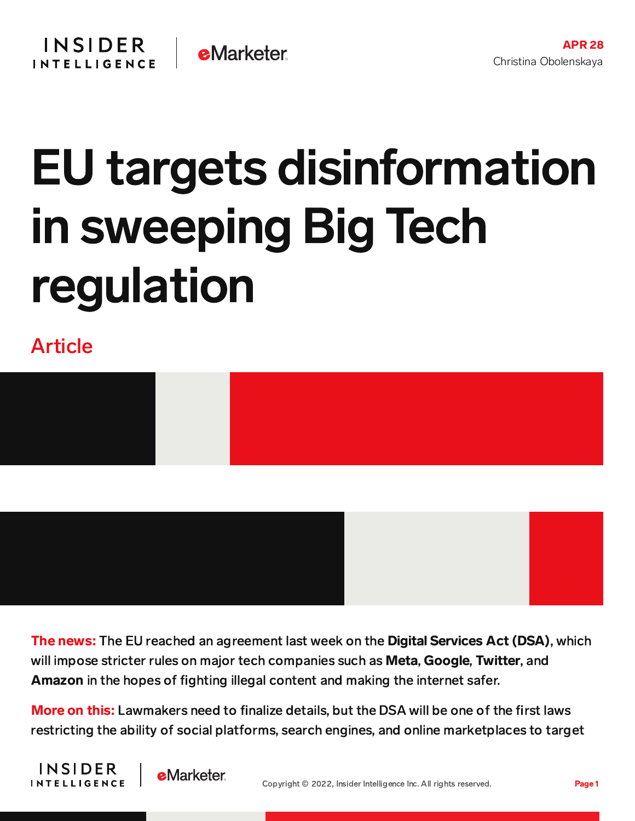## EU targets disinformation in sweeping Big Tech regulation

Article





The news: The EU reached an agreement last week on the Digital Services Act (DSA), which will impose stricter rules on major tech companies such as Meta, Google, Twitter, and Amazon in the hopes of fighting illegal content and making the internet safer.

More on this: Lawmakers need to finalize details, but the DSA will be one of the first laws restricting the ability of social platforms, search engines, and online marketplaces to target